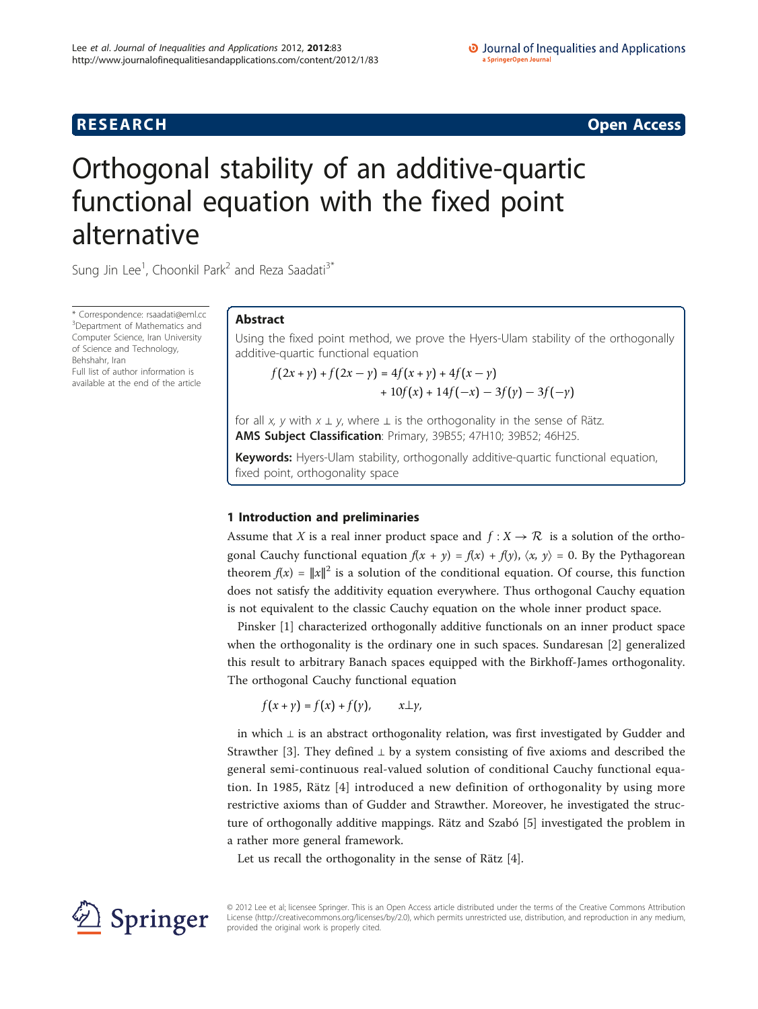# **RESEARCH CONSTRUCTION CONSTRUCTS**

# Orthogonal stability of an additive-quartic functional equation with the fixed point alternative

Sung Jin Lee<sup>1</sup>, Choonkil Park<sup>2</sup> and Reza Saadati<sup>3\*</sup>

\* Correspondence: [rsaadati@eml.cc](mailto:rsaadati@eml.cc) <sup>3</sup>Department of Mathematics and Computer Science, Iran University of Science and Technology, Behshahr, Iran Full list of author information is

available at the end of the article

# Abstract

Using the fixed point method, we prove the Hyers-Ulam stability of the orthogonally additive-quartic functional equation

 $f(2x + y) + f(2x - y) = 4f(x + y) + 4f(x - y)$  $+10f(x) + 14f(-x) - 3f(y) - 3f(-y)$ 

for all x, y with  $x \perp y$ , where  $\perp$  is the orthogonality in the sense of Rätz. AMS Subject Classification: Primary, 39B55; 47H10; 39B52; 46H25.

Keywords: Hyers-Ulam stability, orthogonally additive-quartic functional equation, fixed point, orthogonality space

# 1 Introduction and preliminaries

Assume that X is a real inner product space and  $f: X \to \mathcal{R}$  is a solution of the orthogonal Cauchy functional equation  $f(x + y) = f(x) + f(y)$ ,  $\langle x, y \rangle = 0$ . By the Pythagorean theorem  $f(x) = ||x||^2$  is a solution of the conditional equation. Of course, this function does not satisfy the additivity equation everywhere. Thus orthogonal Cauchy equation is not equivalent to the classic Cauchy equation on the whole inner product space.

Pinsker [\[1\]](#page-8-0) characterized orthogonally additive functionals on an inner product space when the orthogonality is the ordinary one in such spaces. Sundaresan [[2\]](#page-8-0) generalized this result to arbitrary Banach spaces equipped with the Birkhoff-James orthogonality. The orthogonal Cauchy functional equation

 $f(x + y) = f(x) + f(y)$ ,  $x \perp y$ ,

in which ⊥ is an abstract orthogonality relation, was first investigated by Gudder and Strawther [\[3](#page-8-0)]. They defined  $\perp$  by a system consisting of five axioms and described the general semi-continuous real-valued solution of conditional Cauchy functional equation. In 1985, Rätz [[4\]](#page-8-0) introduced a new definition of orthogonality by using more restrictive axioms than of Gudder and Strawther. Moreover, he investigated the structure of orthogonally additive mappings. Rätz and Szabó [\[5](#page-8-0)] investigated the problem in a rather more general framework.

Let us recall the orthogonality in the sense of Rätz [\[4](#page-8-0)].



© 2012 Lee et al; licensee Springer. This is an Open Access article distributed under the terms of the Creative Commons Attribution License [\(http://creativecommons.org/licenses/by/2.0](http://creativecommons.org/licenses/by/2.0)), which permits unrestricted use, distribution, and reproduction in any medium, provided the original work is properly cited.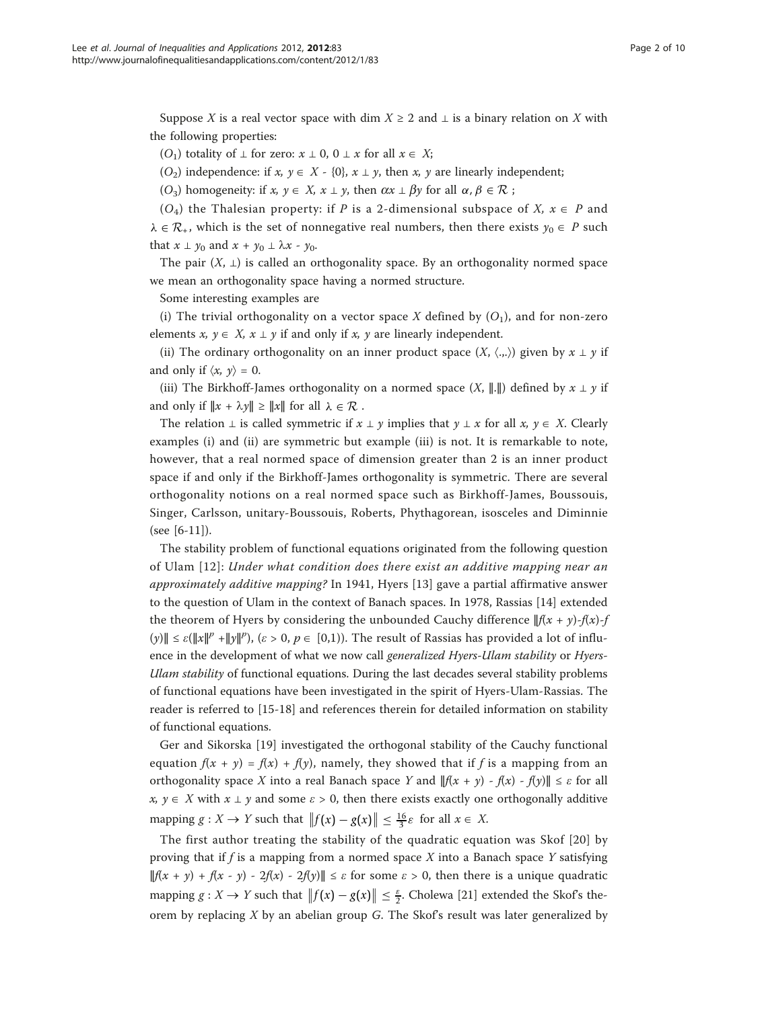Suppose X is a real vector space with dim  $X \ge 2$  and  $\perp$  is a binary relation on X with the following properties:

(O<sub>1</sub>) totality of  $\bot$  for zero:  $x \bot 0$ ,  $0 \bot x$  for all  $x \in X$ ;

(O<sub>2</sub>) independence: if x,  $y \in X$  - {0},  $x \perp y$ , then x, y are linearly independent;

(O<sub>3</sub>) homogeneity: if  $x, y \in X$ ,  $x \perp y$ , then  $\alpha x \perp \beta y$  for all  $\alpha, \beta \in \mathcal{R}$ ;

 $(O_4)$  the Thalesian property: if P is a 2-dimensional subspace of X,  $x \in P$  and  $\lambda \in \mathcal{R}_+$ , which is the set of nonnegative real numbers, then there exists  $y_0 \in P$  such that  $x \perp y_0$  and  $x + y_0 \perp \lambda x - y_0$ .

The pair  $(X, \perp)$  is called an orthogonality space. By an orthogonality normed space we mean an orthogonality space having a normed structure.

Some interesting examples are

(i) The trivial orthogonality on a vector space X defined by  $(O_1)$ , and for non-zero elements  $x, y \in X$ ,  $x \perp y$  if and only if x, y are linearly independent.

(ii) The ordinary orthogonality on an inner product space  $(X, \langle ... \rangle)$  given by  $x \perp y$  if and only if  $\langle x, y \rangle = 0$ .

(iii) The Birkhoff-James orthogonality on a normed space  $(X, \Vert \cdot \Vert)$  defined by  $x \perp y$  if and only if  $||x + \lambda y|| \ge ||x||$  for all  $\lambda \in \mathcal{R}$ .

The relation  $\perp$  is called symmetric if  $x \perp y$  implies that  $y \perp x$  for all x,  $y \in X$ . Clearly examples (i) and (ii) are symmetric but example (iii) is not. It is remarkable to note, however, that a real normed space of dimension greater than 2 is an inner product space if and only if the Birkhoff-James orthogonality is symmetric. There are several orthogonality notions on a real normed space such as Birkhoff-James, Boussouis, Singer, Carlsson, unitary-Boussouis, Roberts, Phythagorean, isosceles and Diminnie (see [[6-11\]](#page-8-0)).

The stability problem of functional equations originated from the following question of Ulam [[12](#page-8-0)]: Under what condition does there exist an additive mapping near an approximately additive mapping? In 1941, Hyers [\[13](#page-8-0)] gave a partial affirmative answer to the question of Ulam in the context of Banach spaces. In 1978, Rassias [[14](#page-8-0)] extended the theorem of Hyers by considering the unbounded Cauchy difference  $\|f(x + y)-f(x)-f(x)\|$ (y)∥ ≤  $\varepsilon(\Vert x \Vert^p + \Vert y \Vert^p)$ , ( $\varepsilon > 0$ ,  $p \in [0,1)$ ). The result of Rassias has provided a lot of influence in the development of what we now call *generalized Hyers-Ulam stability* or *Hyers-*Ulam stability of functional equations. During the last decades several stability problems of functional equations have been investigated in the spirit of Hyers-Ulam-Rassias. The reader is referred to [[15-18](#page-8-0)] and references therein for detailed information on stability of functional equations.

Ger and Sikorska [\[19](#page-8-0)] investigated the orthogonal stability of the Cauchy functional equation  $f(x + y) = f(x) + f(y)$ , namely, they showed that if f is a mapping from an orthogonality space X into a real Banach space Y and  $||f(x + y) - f(x) - f(y)|| \leq \varepsilon$  for all  $x, y \in X$  with  $x \perp y$  and some  $\varepsilon > 0$ , then there exists exactly one orthogonally additive mapping  $g: X \to Y$  such that  $||f(x) - g(x)|| \leq \frac{16}{3} \varepsilon$  for all  $x \in X$ .

The first author treating the stability of the quadratic equation was Skof [[20\]](#page-8-0) by proving that if f is a mapping from a normed space  $X$  into a Banach space  $Y$  satisfying  $||f(x + y) + f(x - y) - 2f(x) - 2f(y)|| \le \varepsilon$  for some  $\varepsilon > 0$ , then there is a unique quadratic mapping  $g: X \to Y$  such that  $||f(x) - g(x)|| \leq \frac{\varepsilon}{2}$ . Cholewa [[21](#page-8-0)] extended the Skof's theorem by replacing  $X$  by an abelian group  $G$ . The Skof's result was later generalized by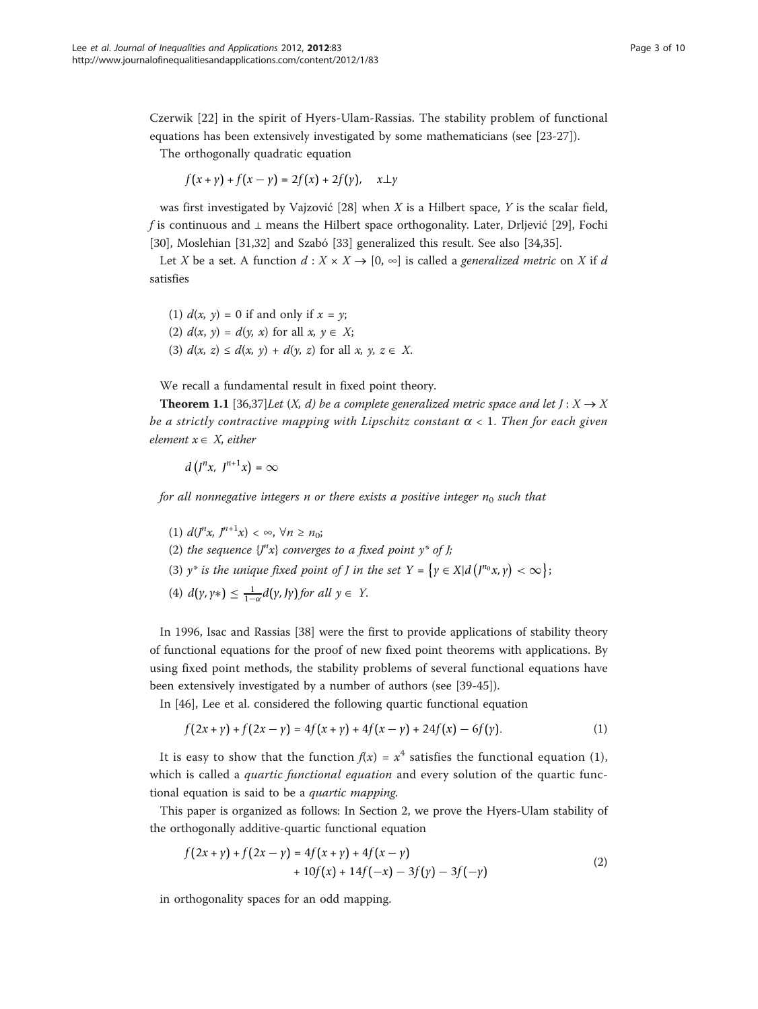Czerwik [\[22](#page-8-0)] in the spirit of Hyers-Ulam-Rassias. The stability problem of functional equations has been extensively investigated by some mathematicians (see [\[23](#page-8-0)-[27\]](#page-8-0)).

The orthogonally quadratic equation

 $f(x + y) + f(x - y) = 2f(x) + 2f(y), \quad x \perp y$ 

was first investigated by Vajzović  $[28]$  $[28]$  when X is a Hilbert space, Y is the scalar field, f is continuous and ⊥ means the Hilbert space orthogonality. Later, Drljević [[29\]](#page-8-0), Fochi [[30\]](#page-9-0), Moslehian [[31,32\]](#page-9-0) and Szabó [\[33](#page-9-0)] generalized this result. See also [[34,35\]](#page-9-0).

Let X be a set. A function  $d : X \times X \rightarrow [0, \infty]$  is called a generalized metric on X if d satisfies

(1)  $d(x, y) = 0$  if and only if  $x = y$ ; (2)  $d(x, y) = d(y, x)$  for all  $x, y \in X$ ; (3)  $d(x, z) \leq d(x, y) + d(y, z)$  for all  $x, y, z \in X$ .

We recall a fundamental result in fixed point theory.

**Theorem 1.1** [[36,37](#page-9-0)]Let  $(X, d)$  be a complete generalized metric space and let  $J: X \rightarrow X$ be a strictly contractive mapping with Lipschitz constant  $\alpha < 1$ . Then for each given element  $x \in X$ , either

$$
d(I^n x, I^{n+1} x) = \infty
$$

for all nonnegative integers n or there exists a positive integer  $n_0$  such that

(1)  $d(J^n x, J^{n+1} x) < \infty, \forall n \ge n_0;$ (2) the sequence  $\{J^nx\}$  converges to a fixed point  $y^*$  of J; (3)  $y^*$  *is the unique fixed point of J in the set*  $Y = \{y \in X | d\left(\frac{\partial^n y}{\partial x}, y\right) < \infty\};$ (4)  $d(y, y*) \leq \frac{1}{1-\alpha}d(y, Jy)$  for all  $y \in Y$ .

In 1996, Isac and Rassias [[38](#page-9-0)] were the first to provide applications of stability theory of functional equations for the proof of new fixed point theorems with applications. By using fixed point methods, the stability problems of several functional equations have been extensively investigated by a number of authors (see [\[39](#page-9-0)-[45](#page-9-0)]).

In [[46](#page-9-0)], Lee et al. considered the following quartic functional equation

$$
f(2x + y) + f(2x - y) = 4f(x + y) + 4f(x - y) + 24f(x) - 6f(y).
$$
 (1)

It is easy to show that the function  $f(x) = x^4$  satisfies the functional equation (1), which is called a *quartic functional equation* and every solution of the quartic functional equation is said to be a quartic mapping.

This paper is organized as follows: In Section 2, we prove the Hyers-Ulam stability of the orthogonally additive-quartic functional equation

$$
f(2x + y) + f(2x - y) = 4f(x + y) + 4f(x - y)
$$
  
+ 10f(x) + 14f(-x) - 3f(y) - 3f(-y) (2)

in orthogonality spaces for an odd mapping.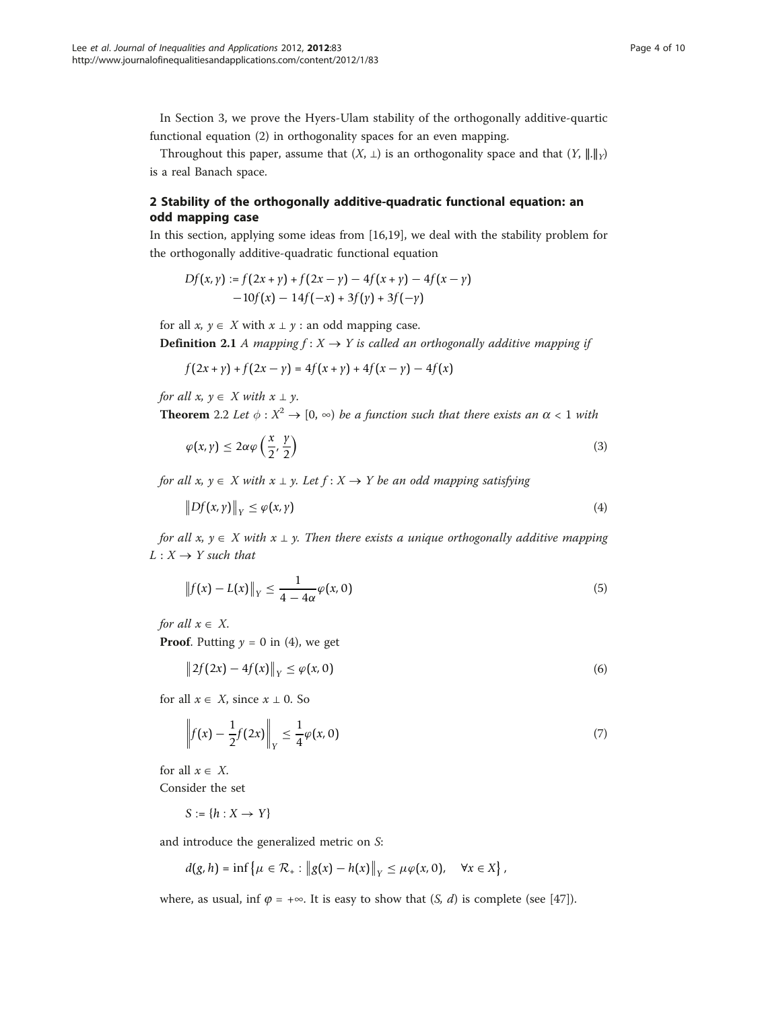In Section 3, we prove the Hyers-Ulam stability of the orthogonally additive-quartic functional equation (2) in orthogonality spaces for an even mapping.

Throughout this paper, assume that  $(X, \perp)$  is an orthogonality space and that  $(Y, \parallel \parallel \parallel_Y)$ is a real Banach space.

## 2 Stability of the orthogonally additive-quadratic functional equation: an odd mapping case

In this section, applying some ideas from [[16,19\]](#page-8-0), we deal with the stability problem for the orthogonally additive-quadratic functional equation

$$
Df(x, y) := f(2x + y) + f(2x - y) - 4f(x + y) - 4f(x - y)
$$
  
-10f(x) - 14f(-x) + 3f(y) + 3f(-y)

for all  $x, y \in X$  with  $x \perp y$  : an odd mapping case.

**Definition 2.1** A mapping  $f : X \rightarrow Y$  is called an orthogonally additive mapping if

$$
f(2x + y) + f(2x - y) = 4f(x + y) + 4f(x - y) - 4f(x)
$$

for all  $x, y \in X$  with  $x \perp y$ .

**Theorem** 2.2 Let  $\phi : X^2 \to [0, \infty)$  be a function such that there exists an  $\alpha < 1$  with

$$
\varphi(x,y) \le 2\alpha \varphi\left(\frac{x}{2},\frac{y}{2}\right) \tag{3}
$$

for all x,  $y \in X$  with  $x \perp y$ . Let  $f : X \rightarrow Y$  be an odd mapping satisfying

$$
\|Df(x,y)\|_{Y} \le \varphi(x,y) \tag{4}
$$

for all  $x, y \in X$  with  $x \perp y$ . Then there exists a unique orthogonally additive mapping  $L: X \rightarrow Y$  such that

$$
\left\|f(x) - L(x)\right\|_{Y} \le \frac{1}{4 - 4\alpha} \varphi(x, 0) \tag{5}
$$

for all  $x \in X$ .

**Proof.** Putting  $y = 0$  in (4), we get

$$
\|2f(2x) - 4f(x)\|_{Y} \le \varphi(x, 0)
$$
\n(6)

for all  $x \in X$ , since  $x \perp 0$ . So

$$
\left\|f(x) - \frac{1}{2}f(2x)\right\|_{Y} \le \frac{1}{4}\varphi(x,0)
$$
\n(7)

for all  $x \in X$ .

Consider the set

$$
S := \{ h : X \to Y \}
$$

and introduce the generalized metric on S:

$$
d(g,h)=\inf\left\{\mu\in\mathcal{R}_+:\left\|g(x)-h(x)\right\|_Y\leq\mu\varphi(x,0),\quad\forall x\in X\right\},\
$$

where, as usual, inf  $\varphi = +\infty$ . It is easy to show that  $(S, d)$  is complete (see [\[47](#page-9-0)]).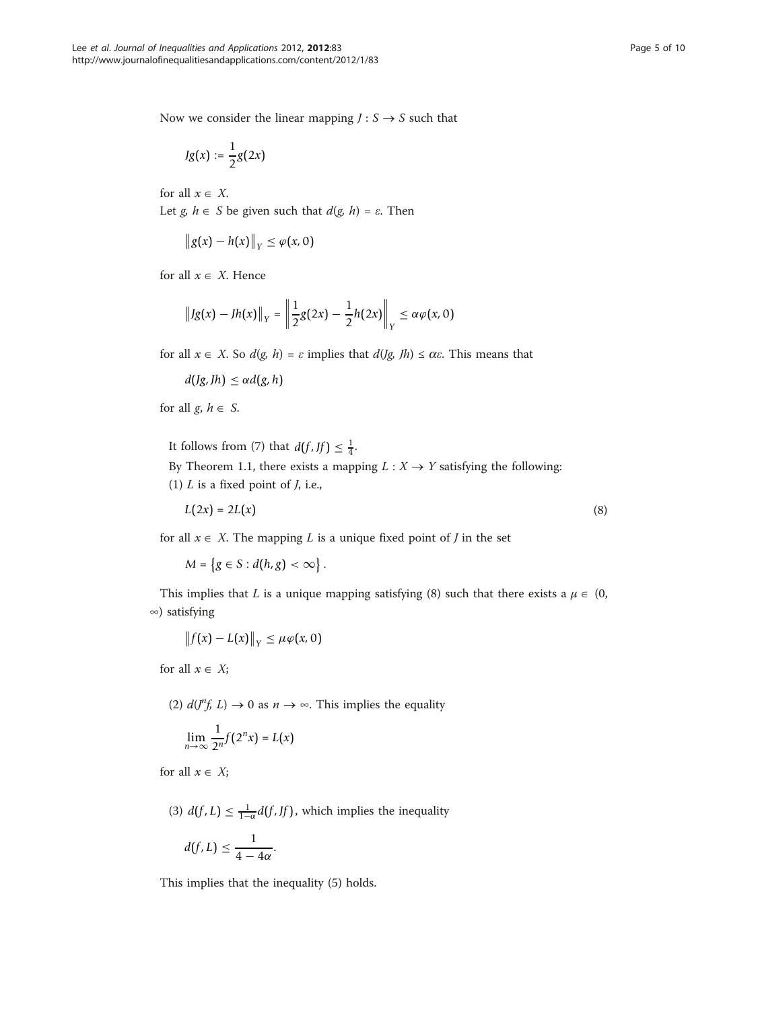Now we consider the linear mapping  $J: S \rightarrow S$  such that

$$
Jg(x) := \frac{1}{2}g(2x)
$$

for all  $x \in X$ . Let  $g, h \in S$  be given such that  $d(g, h) = \varepsilon$ . Then

$$
\|g(x)-h(x)\|_Y\leq \varphi(x,0)
$$

for all  $x \in X$ . Hence

$$
\|Jg(x) - Jh(x)\|_{Y} = \left\|\frac{1}{2}g(2x) - \frac{1}{2}h(2x)\right\|_{Y} \le \alpha \varphi(x, 0)
$$

for all  $x \in X$ . So  $d(g, h) = \varepsilon$  implies that  $d(Jg, fh) \leq \alpha \varepsilon$ . This means that

 $d(Jg, Jh) \leq \alpha d(g, h)$ 

for all  $g, h \in S$ .

It follows from (7) that  $d(f, Jf) \leq \frac{1}{4}$ .

By Theorem 1.1, there exists a mapping  $L : X \rightarrow Y$  satisfying the following: (1)  $L$  is a fixed point of  $J$ , i.e.,

$$
L(2x) = 2L(x) \tag{8}
$$

for all  $x \in X$ . The mapping L is a unique fixed point of J in the set

 $M = \{ g \in S : d(h, g) < \infty \}.$ 

This implies that L is a unique mapping satisfying (8) such that there exists a  $\mu \in (0, 1)$ ∞) satisfying

$$
\left\|f(x)-L(x)\right\|_{Y}\leq \mu\varphi(x,0)
$$

for all  $x \in X$ ;

(2)  $d(J^n f, L) \rightarrow 0$  as  $n \rightarrow \infty$ . This implies the equality

$$
\lim_{n\to\infty}\frac{1}{2^n}f(2^n x)=L(x)
$$

for all  $x \in X$ ;

(3) 
$$
d(f, L) \le \frac{1}{1-\alpha}d(f, Jf)
$$
, which implies the inequality  

$$
d(f, L) \le \frac{1}{4-4\alpha}.
$$

This implies that the inequality (5) holds.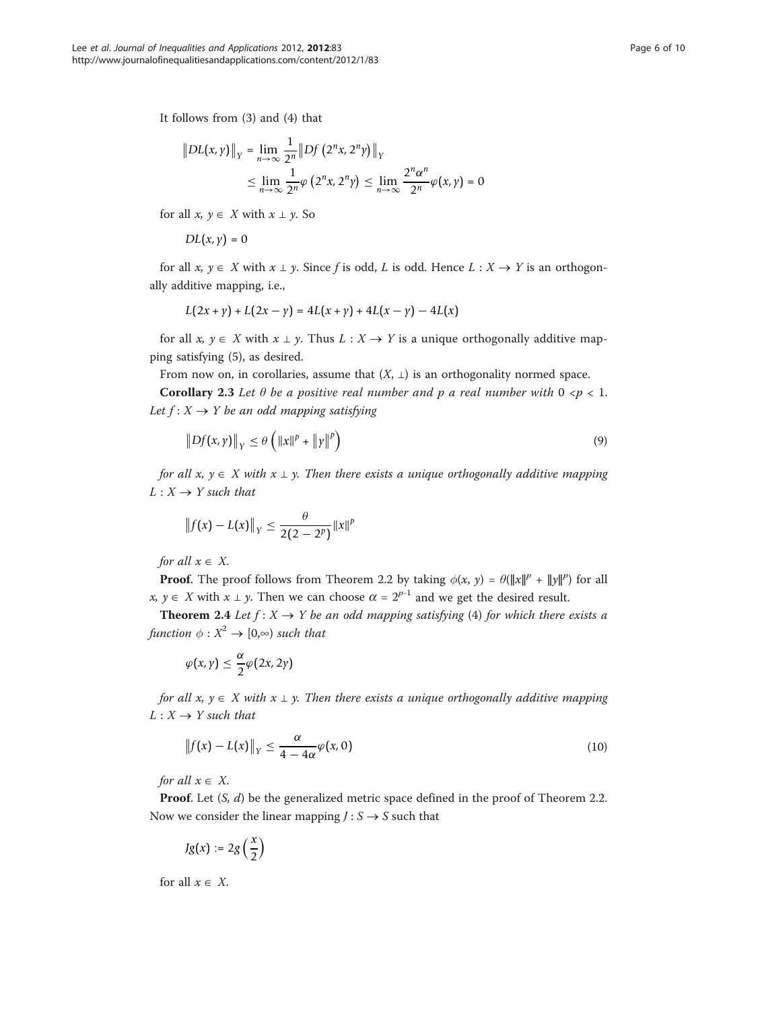It follows from (3) and (4) that

$$
\|DL(x,y)\|_{Y} = \lim_{n \to \infty} \frac{1}{2^{n}} \|Df(2^{n}x, 2^{n}y)\|_{Y}
$$
  

$$
\leq \lim_{n \to \infty} \frac{1}{2^{n}} \varphi(2^{n}x, 2^{n}y) \leq \lim_{n \to \infty} \frac{2^{n} \alpha^{n}}{2^{n}} \varphi(x,y) = 0
$$

for all  $x, y \in X$  with  $x \perp y$ . So

$$
DL(x,y)=0
$$

for all  $x, y \in X$  with  $x \perp y$ . Since f is odd, L is odd. Hence  $L : X \rightarrow Y$  is an orthogonally additive mapping, i.e.,

$$
L(2x + y) + L(2x - y) = 4L(x + y) + 4L(x - y) - 4L(x)
$$

for all  $x, y \in X$  with  $x \perp y$ . Thus  $L : X \rightarrow Y$  is a unique orthogonally additive mapping satisfying (5), as desired.

From now on, in corollaries, assume that  $(X, \perp)$  is an orthogonality normed space.

Corollary 2.3 Let  $\theta$  be a positive real number and p a real number with  $0 \le p \le 1$ . Let  $f: X \rightarrow Y$  be an odd mapping satisfying

$$
\|Df(x,y)\|_{Y} \leq \theta \left(\|x\|^p + \|y\|^p\right) \tag{9}
$$

for all  $x, y \in X$  with  $x \perp y$ . Then there exists a unique orthogonally additive mapping  $L: X \rightarrow Y$  such that

$$
\|f(x) - L(x)\|_{Y} \leq \frac{\theta}{2(2 - 2^{p})} \|x\|^{p}
$$

for all  $x \in X$ .

**Proof.** The proof follows from Theorem 2.2 by taking  $\phi(x, y) = \theta(\|x\|^p + \|y\|^p)$  for all x,  $y \in X$  with  $x \perp y$ . Then we can choose  $\alpha = 2^{p-1}$  and we get the desired result.

**Theorem 2.4** Let  $f: X \to Y$  be an odd mapping satisfying (4) for which there exists a function  $\phi: X^2 \to [0,\infty)$  such that

$$
\varphi(x,\gamma)\leq \frac{\alpha}{2}\varphi(2x,2\gamma)
$$

for all x,  $y \in X$  with  $x \perp y$ . Then there exists a unique orthogonally additive mapping  $L: X \rightarrow Y$  such that

$$
\|f(x) - L(x)\|_{Y} \le \frac{\alpha}{4 - 4\alpha} \varphi(x, 0) \tag{10}
$$

for all  $x \in X$ .

**Proof.** Let  $(S, d)$  be the generalized metric space defined in the proof of Theorem 2.2. Now we consider the linear mapping  $J: S \rightarrow S$  such that

$$
Jg(x) := 2g\left(\frac{x}{2}\right)
$$

for all  $x \in X$ .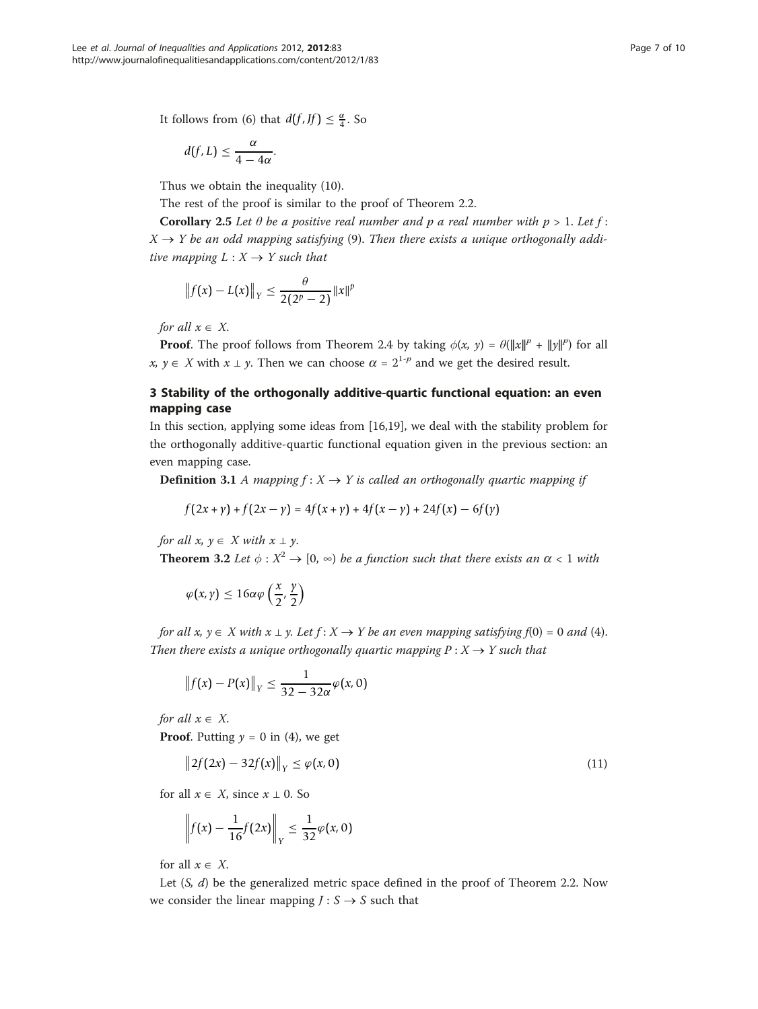It follows from (6) that  $d(f, Jf) \leq \frac{\alpha}{4}$ . So

$$
d(f, L) \leq \frac{\alpha}{4 - 4\alpha}.
$$

Thus we obtain the inequality (10).

The rest of the proof is similar to the proof of Theorem 2.2.

Corollary 2.5 Let  $\theta$  be a positive real number and p a real number with  $p > 1$ . Let  $f$ :  $X \rightarrow Y$  be an odd mapping satisfying (9). Then there exists a unique orthogonally additive mapping  $L : X \rightarrow Y$  such that

$$
||f(x) - L(x)||_Y \le \frac{\theta}{2(2^p - 2)} ||x||^p
$$

for all  $x \in X$ .

**Proof.** The proof follows from Theorem 2.4 by taking  $\phi(x, y) = \theta(\|x\|^p + \|y\|^p)$  for all x,  $y \in X$  with  $x \perp y$ . Then we can choose  $\alpha = 2^{1-p}$  and we get the desired result.

# 3 Stability of the orthogonally additive-quartic functional equation: an even mapping case

In this section, applying some ideas from [[16,19\]](#page-8-0), we deal with the stability problem for the orthogonally additive-quartic functional equation given in the previous section: an even mapping case.

**Definition 3.1** A mapping  $f: X \rightarrow Y$  is called an orthogonally quartic mapping if

$$
f(2x + y) + f(2x - y) = 4f(x + y) + 4f(x - y) + 24f(x) - 6f(y)
$$

for all  $x, y \in X$  with  $x \perp y$ .

**Theorem 3.2** Let  $\phi : X^2 \to [0, \infty)$  be a function such that there exists an  $\alpha < 1$  with

$$
\varphi(x,y) \leq 16\alpha\varphi\left(\frac{x}{2},\frac{y}{2}\right)
$$

for all  $x, y \in X$  with  $x \perp y$ . Let  $f : X \to Y$  be an even mapping satisfying  $f(0) = 0$  and (4). Then there exists a unique orthogonally quartic mapping  $P: X \rightarrow Y$  such that

$$
\left\|f(x)-P(x)\right\|_{Y}\leq\frac{1}{32-32\alpha}\varphi(x,0)
$$

for all  $x \in X$ .

**Proof.** Putting  $y = 0$  in (4), we get

$$
\|2f(2x) - 32f(x)\|_{Y} \le \varphi(x, 0)
$$
\n(11)

for all  $x \in X$ , since  $x \perp 0$ . So

$$
\left\|f(x) - \frac{1}{16}f(2x)\right\|_{Y} \le \frac{1}{32}\varphi(x, 0)
$$

for all  $x \in X$ .

Let  $(S, d)$  be the generalized metric space defined in the proof of Theorem 2.2. Now we consider the linear mapping  $J: S \rightarrow S$  such that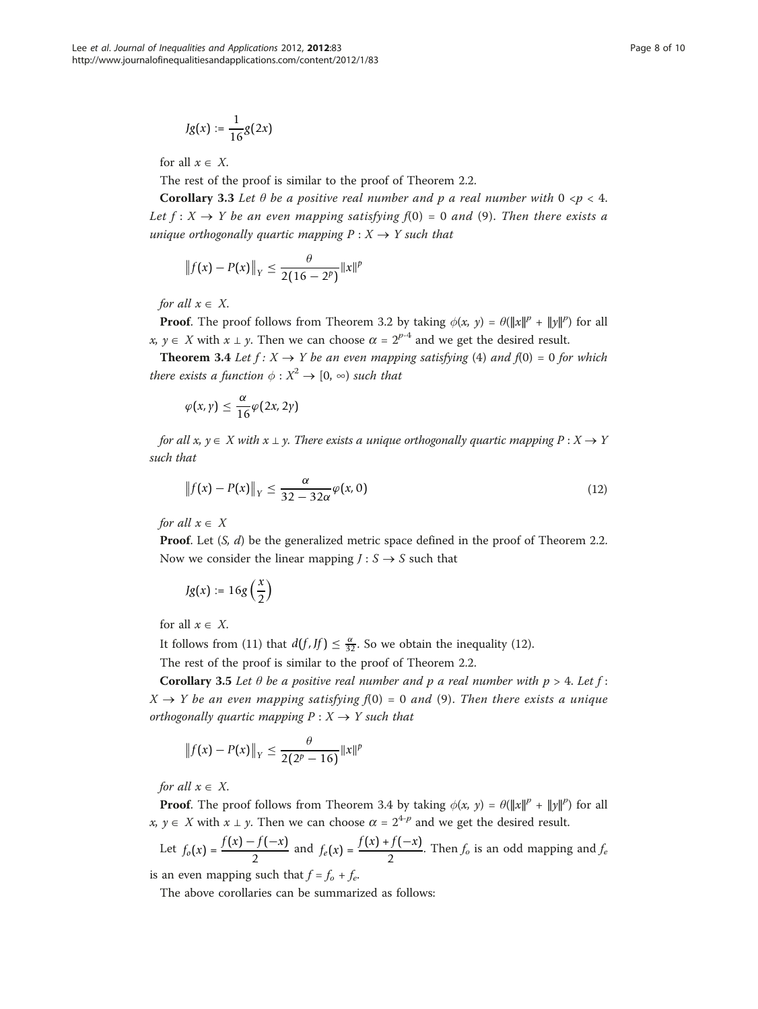$$
Jg(x) := \frac{1}{16}g(2x)
$$

for all  $x \in X$ .

The rest of the proof is similar to the proof of Theorem 2.2.

**Corollary 3.3** Let  $\theta$  be a positive real number and p a real number with  $0 < p < 4$ . Let  $f: X \to Y$  be an even mapping satisfying  $f(0) = 0$  and (9). Then there exists a unique orthogonally quartic mapping  $P: X \rightarrow Y$  such that

$$
||f(x) - P(x)||_Y \leq \frac{\theta}{2(16-2^p)}||x||^p
$$

for all  $x \in X$ .

**Proof.** The proof follows from Theorem 3.2 by taking  $\phi(x, y) = \theta(\|x\|^p + \|y\|^p)$  for all x,  $y \in X$  with  $x \perp y$ . Then we can choose  $\alpha = 2^{p-4}$  and we get the desired result.

**Theorem 3.4** Let  $f: X \rightarrow Y$  be an even mapping satisfying (4) and  $f(0) = 0$  for which there exists a function  $\phi: X^2 \to [0, \infty)$  such that

$$
\varphi(x,y)\leq \frac{\alpha}{16}\varphi(2x,2y)
$$

for all  $x, y \in X$  with  $x \perp y$ . There exists a unique orthogonally quartic mapping  $P : X \rightarrow Y$ such that

$$
\|f(x) - P(x)\|_{Y} \le \frac{\alpha}{32 - 32\alpha} \varphi(x, 0) \tag{12}
$$

for all  $x \in X$ 

**Proof.** Let  $(S, d)$  be the generalized metric space defined in the proof of Theorem 2.2. Now we consider the linear mapping  $J: S \rightarrow S$  such that

$$
Jg(x):=16g\left(\frac{x}{2}\right)
$$

for all  $x \in X$ .

It follows from (11) that  $d(f, Jf) \leq \frac{\alpha}{32}$ . So we obtain the inequality (12).

The rest of the proof is similar to the proof of Theorem 2.2.

Corollary 3.5 Let  $\theta$  be a positive real number and p a real number with  $p > 4$ . Let  $f$ :  $X \rightarrow Y$  be an even mapping satisfying  $f(0) = 0$  and (9). Then there exists a unique orthogonally quartic mapping  $P : X \rightarrow Y$  such that

$$
||f(x) - P(x)||_Y \leq \frac{\theta}{2(2^p - 16)} ||x||^p
$$

for all  $x \in X$ .

**Proof.** The proof follows from Theorem 3.4 by taking  $\phi(x, y) = \theta(||x||^p + ||y||^p)$  for all x,  $y \in X$  with  $x \perp y$ . Then we can choose  $\alpha = 2^{4-p}$  and we get the desired result.

Let 
$$
f_o(x) = \frac{f(x) - f(-x)}{2}
$$
 and  $f_e(x) = \frac{f(x) + f(-x)}{2}$ . Then  $f_o$  is an odd mapping and  $f_e$ 

is an even mapping such that  $f = f_o + f_e$ .

The above corollaries can be summarized as follows: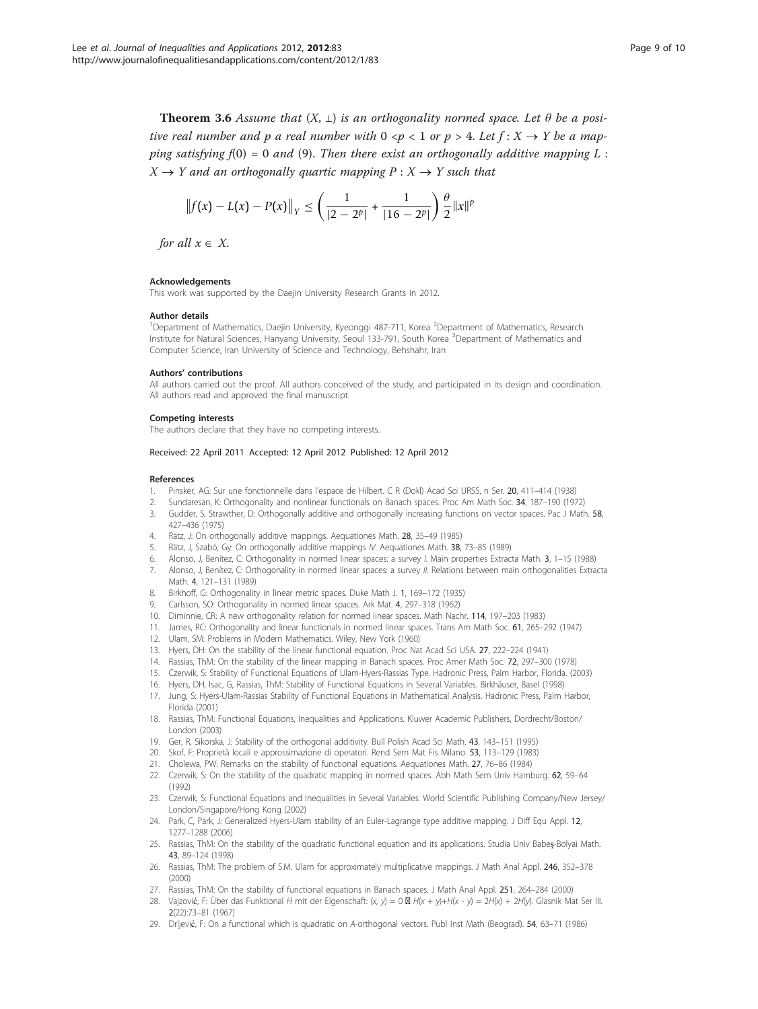<span id="page-8-0"></span>**Theorem 3.6** Assume that  $(X, \perp)$  is an orthogonality normed space. Let  $\theta$  be a positive real number and p a real number with  $0 < p < 1$  or  $p > 4$ . Let  $f: X \rightarrow Y$  be a mapping satisfying  $f(0) = 0$  and  $(9)$ . Then there exist an orthogonally additive mapping L:  $X \to Y$  and an orthogonally quartic mapping  $P : X \to Y$  such that

$$
\left\|f(x) - L(x) - P(x)\right\|_{Y} \leq \left(\frac{1}{|2 - 2^{p}|} + \frac{1}{|16 - 2^{p}|}\right) \frac{\theta}{2} \|x\|^{p}
$$

for all  $x \in X$ .

### Acknowledgements

This work was supported by the Daejin University Research Grants in 2012.

### Author details

<sup>1</sup>Department of Mathematics, Daejin University, Kyeonggi 487-711, Korea <sup>2</sup>Department of Mathematics, Research Institute for Natural Sciences, Hanyang University, Seoul 133-791, South Korea <sup>3</sup>Department of Mathematics and Computer Science, Iran University of Science and Technology, Behshahr, Iran

#### Authors' contributions

All authors carried out the proof. All authors conceived of the study, and participated in its design and coordination. All authors read and approved the final manuscript.

#### Competing interests

The authors declare that they have no competing interests.

### Received: 22 April 2011 Accepted: 12 April 2012 Published: 12 April 2012

#### References

- Pinsker, AG: Sur une fonctionnelle dans l'espace de Hilbert. C R (Dokl) Acad Sci URSS, n Ser. 20, 411-414 (1938)
- 2. Sundaresan, K: Orthogonality and nonlinear functionals on Banach spaces. Proc Am Math Soc. 34, 187–190 (1972)
- 3. Gudder, S, Strawther, D: Orthogonally additive and orthogonally increasing functions on vector spaces. Pac J Math. 58, 427–436 (1975)
- 4. Rätz, J: On orthogonally additive mappings. Aequationes Math. 28, 35–49 (1985)
- 5. Rätz, J, Szabó, Gy: On orthogonally additive mappings IV. Aequationes Math. 38, 73–85 (1989)
- 6. Alonso, J, Benítez, C: Orthogonality in normed linear spaces: a survey I. Main properties Extracta Math. 3, 1–15 (1988) 7. Alonso, J, Benítez, C: Orthogonality in normed linear spaces: a survey II. Relations between main orthogonalities Extracta Math. 4, 121–131 (1989)
- 8. Birkhoff, G: Orthogonality in linear metric spaces. Duke Math J. 1, 169-172 (1935)
- Carlsson, SO: Orthogonality in normed linear spaces. Ark Mat. 4, 297–318 (1962)
- 10. Diminnie, CR: A new orthogonality relation for normed linear spaces. Math Nachr. 114, 197–203 (1983)
- 11. James, RC: Orthogonality and linear functionals in normed linear spaces. Trans Am Math Soc. 61, 265–292 (1947)
- 12. Ulam, SM: Problems in Modern Mathematics. Wiley, New York (1960)
- 13. Hyers, DH: On the stability of the linear functional equation. Proc Nat Acad Sci USA. 27, 222–224 (1941)
- 14. Rassias, ThM: On the stability of the linear mapping in Banach spaces. Proc Amer Math Soc. 72, 297–300 (1978)
- 15. Czerwik, S: Stability of Functional Equations of Ulam-Hyers-Rassias Type. Hadronic Press, Palm Harbor, Florida. (2003)
- 16. Hyers, DH, Isac, G, Rassias, ThM: Stability of Functional Equations in Several Variables. Birkhäuser, Basel (1998)
- 17. Jung, S: Hyers-Ulam-Rassias Stability of Functional Equations in Mathematical Analysis. Hadronic Press, Palm Harbor, Florida (2001)
- 18. Rassias, ThM: Functional Equations, Inequalities and Applications. Kluwer Academic Publishers, Dordrecht/Boston/ London (2003)
- 19. Ger, R, Sikorska, J: Stability of the orthogonal additivity. Bull Polish Acad Sci Math. 43, 143–151 (1995)
- 20. Skof, F: Proprietà locali e approssimazione di operatori. Rend Sem Mat Fis Milano. 53, 113–129 (1983)
- 21. Cholewa, PW: Remarks on the stability of functional equations. Aequationes Math. 27, 76–86 (1984)
- 22. Czerwik, S: On the stability of the quadratic mapping in normed spaces. Abh Math Sem Univ Hamburg. 62, 59–64 (1992)
- 23. Czerwik, S: Functional Equations and Inequalities in Several Variables. World Scientific Publishing Company/New Jersey/ London/Singapore/Hong Kong (2002)
- 24. Park, C, Park, J: Generalized Hyers-Ulam stability of an Euler-Lagrange type additive mapping. J Diff Equ Appl. 12, 1277–1288 (2006)
- 25. Rassias, ThM: On the stability of the quadratic functional equation and its applications. Studia Univ Babeş-Bolyai Math. 43, 89–124 (1998)
- 26. Rassias, ThM: The problem of S.M. Ulam for approximately multiplicative mappings. J Math Anal Appl. 246, 352–378  $(2000)$
- 27. Rassias, ThM: On the stability of functional equations in Banach spaces. J Math Anal Appl. 251, 264–284 (2000)
- 28. Vajzović, F: Über das Funktional H mit der Eigenschaft: (x, y) = 0  $\boxtimes$  H(x + y)+H(x y) = 2H(x) + 2H(y). Glasnik Mat Ser III. 2(22):73–81 (1967)
- 29. Drljević, F: On a functional which is quadratic on A-orthogonal vectors. Publ Inst Math (Beograd). 54, 63–71 (1986)